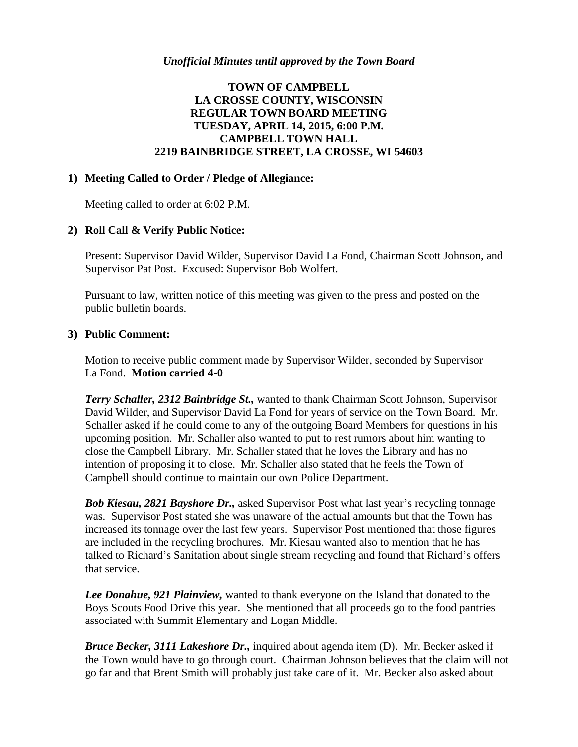# **TOWN OF CAMPBELL LA CROSSE COUNTY, WISCONSIN REGULAR TOWN BOARD MEETING TUESDAY, APRIL 14, 2015, 6:00 P.M. CAMPBELL TOWN HALL 2219 BAINBRIDGE STREET, LA CROSSE, WI 54603**

### **1) Meeting Called to Order / Pledge of Allegiance:**

Meeting called to order at 6:02 P.M.

## **2) Roll Call & Verify Public Notice:**

Present: Supervisor David Wilder, Supervisor David La Fond, Chairman Scott Johnson, and Supervisor Pat Post. Excused: Supervisor Bob Wolfert.

Pursuant to law, written notice of this meeting was given to the press and posted on the public bulletin boards.

### **3) Public Comment:**

Motion to receive public comment made by Supervisor Wilder, seconded by Supervisor La Fond. **Motion carried 4-0**

*Terry Schaller, 2312 Bainbridge St.,* wanted to thank Chairman Scott Johnson, Supervisor David Wilder, and Supervisor David La Fond for years of service on the Town Board. Mr. Schaller asked if he could come to any of the outgoing Board Members for questions in his upcoming position. Mr. Schaller also wanted to put to rest rumors about him wanting to close the Campbell Library. Mr. Schaller stated that he loves the Library and has no intention of proposing it to close. Mr. Schaller also stated that he feels the Town of Campbell should continue to maintain our own Police Department.

*Bob Kiesau, 2821 Bayshore Dr.,* asked Supervisor Post what last year's recycling tonnage was. Supervisor Post stated she was unaware of the actual amounts but that the Town has increased its tonnage over the last few years. Supervisor Post mentioned that those figures are included in the recycling brochures. Mr. Kiesau wanted also to mention that he has talked to Richard's Sanitation about single stream recycling and found that Richard's offers that service.

*Lee Donahue, 921 Plainview,* wanted to thank everyone on the Island that donated to the Boys Scouts Food Drive this year. She mentioned that all proceeds go to the food pantries associated with Summit Elementary and Logan Middle.

*Bruce Becker, 3111 Lakeshore Dr.,* inquired about agenda item (D). Mr. Becker asked if the Town would have to go through court. Chairman Johnson believes that the claim will not go far and that Brent Smith will probably just take care of it. Mr. Becker also asked about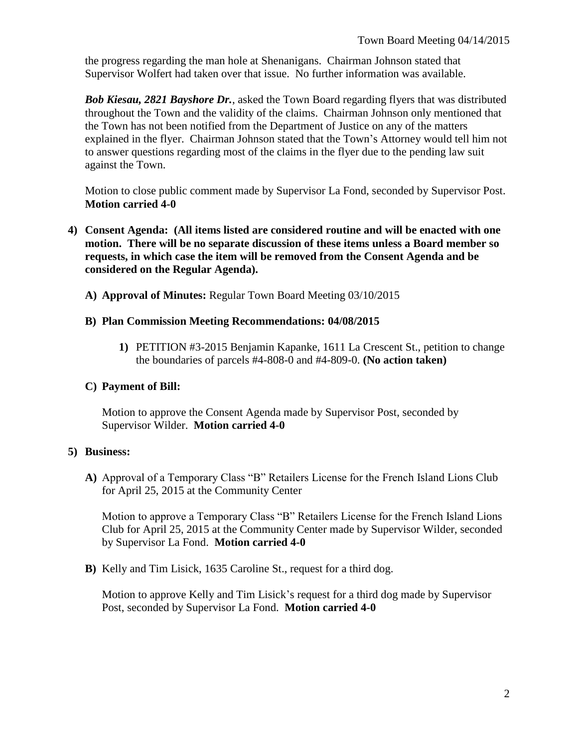the progress regarding the man hole at Shenanigans. Chairman Johnson stated that Supervisor Wolfert had taken over that issue. No further information was available.

*Bob Kiesau, 2821 Bayshore Dr.*, asked the Town Board regarding flyers that was distributed throughout the Town and the validity of the claims. Chairman Johnson only mentioned that the Town has not been notified from the Department of Justice on any of the matters explained in the flyer. Chairman Johnson stated that the Town's Attorney would tell him not to answer questions regarding most of the claims in the flyer due to the pending law suit against the Town.

Motion to close public comment made by Supervisor La Fond, seconded by Supervisor Post. **Motion carried 4-0**

- **4) Consent Agenda: (All items listed are considered routine and will be enacted with one motion. There will be no separate discussion of these items unless a Board member so requests, in which case the item will be removed from the Consent Agenda and be considered on the Regular Agenda).**
	- **A) Approval of Minutes:** Regular Town Board Meeting 03/10/2015

#### **B) Plan Commission Meeting Recommendations: 04/08/2015**

**1)** PETITION #3-2015 Benjamin Kapanke, 1611 La Crescent St., petition to change the boundaries of parcels #4-808-0 and #4-809-0. **(No action taken)**

#### **C) Payment of Bill:**

Motion to approve the Consent Agenda made by Supervisor Post, seconded by Supervisor Wilder. **Motion carried 4-0**

## **5) Business:**

**A)** Approval of a Temporary Class "B" Retailers License for the French Island Lions Club for April 25, 2015 at the Community Center

Motion to approve a Temporary Class "B" Retailers License for the French Island Lions Club for April 25, 2015 at the Community Center made by Supervisor Wilder, seconded by Supervisor La Fond. **Motion carried 4-0**

**B)** Kelly and Tim Lisick, 1635 Caroline St., request for a third dog.

Motion to approve Kelly and Tim Lisick's request for a third dog made by Supervisor Post, seconded by Supervisor La Fond. **Motion carried 4-0**